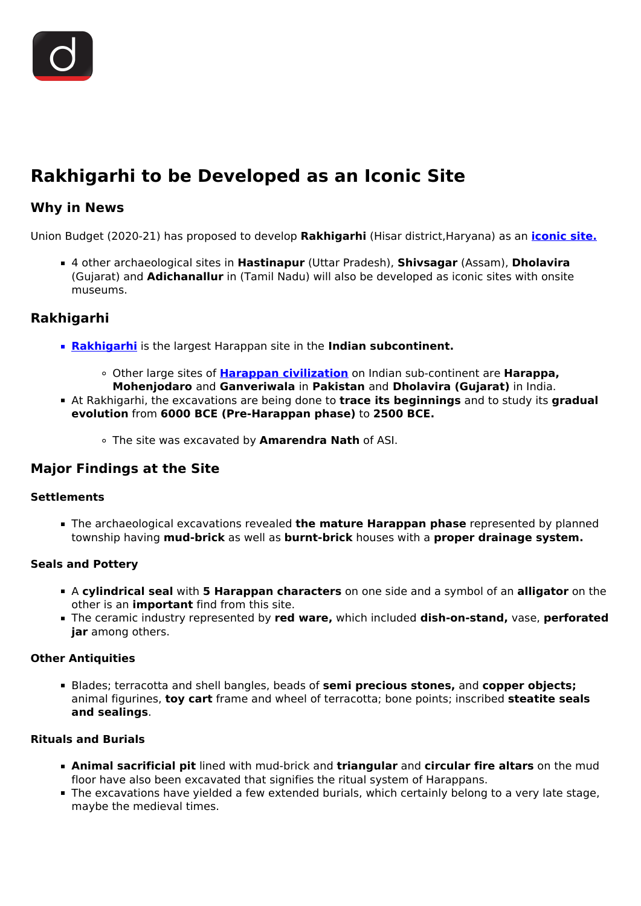

# **Rakhigarhi to be Developed as an Iconic Site**

## **Why in News**

Union Budget (2020-21) has proposed to develop **Rakhigarhi** (Hisar district,Haryana) as an **[iconic site.](/daily-updates/daily-news-analysis/iconic-tourist-sites)**

4 other archaeological sites in **Hastinapur** (Uttar Pradesh), **Shivsagar** (Assam), **Dholavira** (Gujarat) and **Adichanallur** in (Tamil Nadu) will also be developed as iconic sites with onsite museums.

## **Rakhigarhi**

- **[Rakhigarhi](/daily-updates/daily-news-analysis/indus-valley-civilization-s-independent-origin)** is the largest Harappan site in the Indian subcontinent.
	- Other large sites of **[Harappan civilization](/to-the-points/paper1/indus-valley-civilization)** on Indian sub-continent are **Harappa, Mohenjodaro** and **Ganveriwala** in **Pakistan** and **Dholavira (Gujarat)** in India.
- At Rakhigarhi, the excavations are being done to **trace its beginnings** and to study its **gradual evolution** from **6000 BCE (Pre-Harappan phase)** to **2500 BCE.**
	- The site was excavated by **Amarendra Nath** of ASI.

### **Major Findings at the Site**

#### **Settlements**

The archaeological excavations revealed **the mature Harappan phase** represented by planned township having **mud-brick** as well as **burnt-brick** houses with a **proper drainage system.**

#### **Seals and Pottery**

- A **cylindrical seal** with **5 Harappan characters** on one side and a symbol of an **alligator** on the other is an **important** find from this site.
- The ceramic industry represented by **red ware,** which included **dish-on-stand,** vase, **perforated jar** among others.

#### **Other Antiquities**

Blades; terracotta and shell bangles, beads of **semi precious stones,** and **copper objects;** animal figurines, **toy cart** frame and wheel of terracotta; bone points; inscribed **steatite seals and sealings**.

#### **Rituals and Burials**

- **Animal sacrificial pit** lined with mud-brick and **triangular** and **circular fire altars** on the mud floor have also been excavated that signifies the ritual system of Harappans.
- The excavations have yielded a few extended burials, which certainly belong to a very late stage, maybe the medieval times.